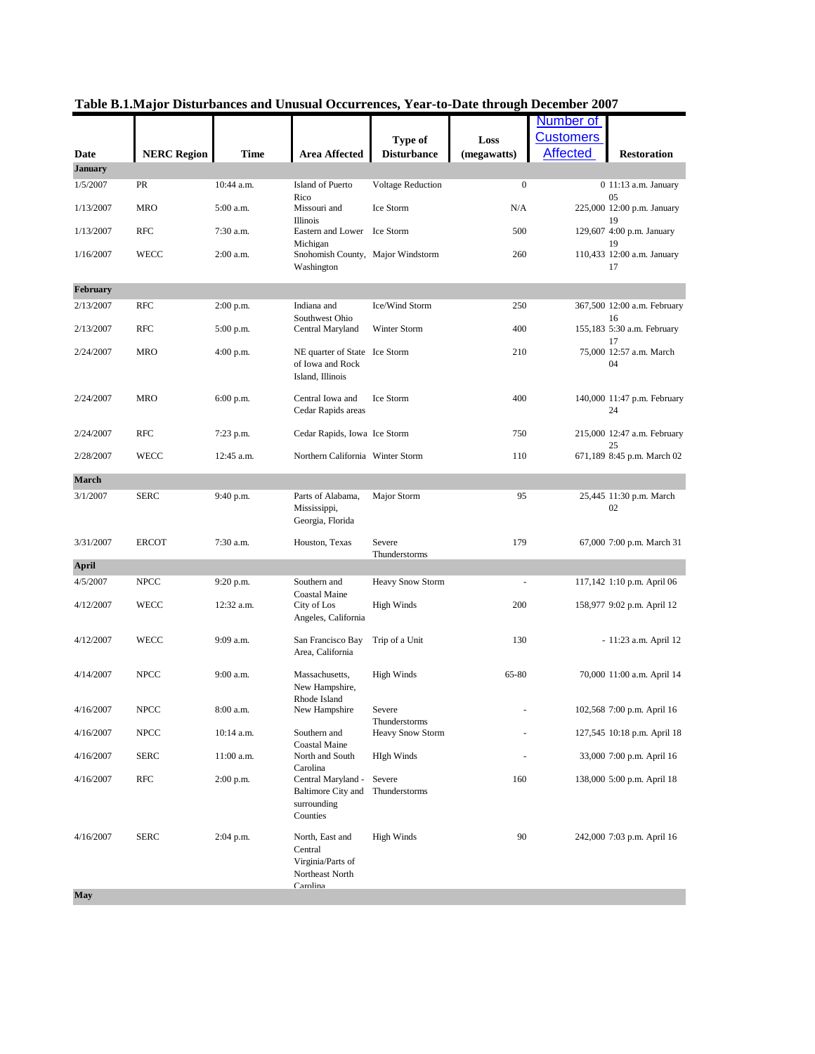| <b>Customers</b><br>Type of<br>Loss<br><b>NERC Region</b><br><b>Affected</b><br><b>Time</b><br><b>Area Affected</b><br><b>Disturbance</b><br><b>Restoration</b><br>Date<br>(megawatts)<br><b>January</b><br>1/5/2007<br>PR<br>10:44 a.m.<br>Island of Puerto<br>Voltage Reduction<br>$\boldsymbol{0}$<br>0 11:13 a.m. January<br>Rico<br>05<br>Ice Storm<br>225,000 12:00 p.m. January<br>1/13/2007<br>MRO<br>5:00 a.m.<br>Missouri and<br>N/A<br>19<br>Illinois<br><b>RFC</b><br>129,607 4:00 p.m. January<br>1/13/2007<br>7:30 a.m.<br>Eastern and Lower Ice Storm<br>500<br>19<br>Michigan<br>WECC<br>2:00 a.m.<br>1/16/2007<br>Snohomish County, Major Windstorm<br>260<br>110,433 12:00 a.m. January<br>17<br>Washington<br>February<br>Ice/Wind Storm<br><b>RFC</b><br>Indiana and<br>250<br>367,500 12:00 a.m. February<br>2/13/2007<br>$2:00$ p.m.<br>Southwest Ohio<br>16<br><b>RFC</b><br>Winter Storm<br>400<br>155,183 5:30 a.m. February<br>2/13/2007<br>5:00 p.m.<br>Central Maryland<br>17<br>2/24/2007<br>210<br>75,000 12:57 a.m. March<br>MRO<br>$4:00$ p.m.<br>NE quarter of State Ice Storm<br>of Iowa and Rock<br>04<br>Island, Illinois<br>2/24/2007<br><b>MRO</b><br>Central Iowa and<br>Ice Storm<br>400<br>$6:00$ p.m.<br>140,000 11:47 p.m. February<br>Cedar Rapids areas<br>24<br><b>RFC</b><br>750<br>2/24/2007<br>7:23 p.m.<br>Cedar Rapids, Iowa Ice Storm<br>215,000 12:47 a.m. February<br>25<br>110<br>2/28/2007<br>WECC<br>12:45 a.m.<br>Northern California Winter Storm<br>671,189 8:45 p.m. March 02<br>March<br>3/1/2007<br><b>SERC</b><br>Parts of Alabama,<br>Major Storm<br>95<br>25,445 11:30 p.m. March<br>9:40 p.m.<br>02<br>Mississippi,<br>Georgia, Florida<br>3/31/2007<br><b>ERCOT</b><br>7:30 a.m.<br>Severe<br>179<br>Houston, Texas<br>67,000 7:00 p.m. March 31<br>Thunderstorms<br>4/5/2007<br><b>NPCC</b><br>Southern and<br><b>Heavy Snow Storm</b><br>9:20 p.m.<br>117,142 1:10 p.m. April 06<br>Coastal Maine<br>WECC<br>12:32 a.m.<br>200<br>4/12/2007<br>City of Los<br><b>High Winds</b><br>158,977 9:02 p.m. April 12<br>Angeles, California<br>4/12/2007<br>9:09 a.m.<br>130<br>WECC<br>San Francisco Bay<br>Trip of a Unit<br>- 11:23 a.m. April 12<br>Area, California<br>9:00 a.m.<br><b>High Winds</b><br>4/14/2007<br><b>NPCC</b><br>Massachusetts,<br>65-80<br>70,000 11:00 a.m. April 14<br>New Hampshire,<br>Rhode Island<br>4/16/2007<br>NPCC<br>8:00 a.m.<br>New Hampshire<br>Severe<br>102,568 7:00 p.m. April 16<br>Thunderstorms<br>4/16/2007<br><b>NPCC</b><br>10:14 a.m.<br>Southern and<br><b>Heavy Snow Storm</b><br>127,545 10:18 p.m. April 18<br>Coastal Maine<br>North and South<br>4/16/2007<br><b>SERC</b><br>$11:00$ a.m.<br><b>HIgh Winds</b><br>33,000 7:00 p.m. April 16<br>Carolina<br><b>RFC</b><br>Central Maryland -<br>160<br>4/16/2007<br>$2:00$ p.m.<br>Severe<br>138,000 5:00 p.m. April 18<br>Thunderstorms<br>Baltimore City and<br>surrounding<br>Counties<br>90<br>4/16/2007<br><b>SERC</b><br>2:04 p.m.<br>North, East and<br><b>High Winds</b><br>242,000 7:03 p.m. April 16<br>Central<br>Virginia/Parts of |              |  | rabic D.I.Iniajur Distanciantes and Unusual Occurrentes, | <b>1 Cal - to-Date the ough December</b> | $\boldsymbol{z}$ vvi |  |
|----------------------------------------------------------------------------------------------------------------------------------------------------------------------------------------------------------------------------------------------------------------------------------------------------------------------------------------------------------------------------------------------------------------------------------------------------------------------------------------------------------------------------------------------------------------------------------------------------------------------------------------------------------------------------------------------------------------------------------------------------------------------------------------------------------------------------------------------------------------------------------------------------------------------------------------------------------------------------------------------------------------------------------------------------------------------------------------------------------------------------------------------------------------------------------------------------------------------------------------------------------------------------------------------------------------------------------------------------------------------------------------------------------------------------------------------------------------------------------------------------------------------------------------------------------------------------------------------------------------------------------------------------------------------------------------------------------------------------------------------------------------------------------------------------------------------------------------------------------------------------------------------------------------------------------------------------------------------------------------------------------------------------------------------------------------------------------------------------------------------------------------------------------------------------------------------------------------------------------------------------------------------------------------------------------------------------------------------------------------------------------------------------------------------------------------------------------------------------------------------------------------------------------------------------------------------------------------------------------------------------------------------------------------------------------------------------------------------------------------------------------------------------------------------------------------------------------------------------------------------------------------------------------------------------------------------------------------------------------------------------------------------------------------------------------------------------------------------------------------------|--------------|--|----------------------------------------------------------|------------------------------------------|----------------------|--|
|                                                                                                                                                                                                                                                                                                                                                                                                                                                                                                                                                                                                                                                                                                                                                                                                                                                                                                                                                                                                                                                                                                                                                                                                                                                                                                                                                                                                                                                                                                                                                                                                                                                                                                                                                                                                                                                                                                                                                                                                                                                                                                                                                                                                                                                                                                                                                                                                                                                                                                                                                                                                                                                                                                                                                                                                                                                                                                                                                                                                                                                                                                                      |              |  |                                                          |                                          | <b>Number of</b>     |  |
|                                                                                                                                                                                                                                                                                                                                                                                                                                                                                                                                                                                                                                                                                                                                                                                                                                                                                                                                                                                                                                                                                                                                                                                                                                                                                                                                                                                                                                                                                                                                                                                                                                                                                                                                                                                                                                                                                                                                                                                                                                                                                                                                                                                                                                                                                                                                                                                                                                                                                                                                                                                                                                                                                                                                                                                                                                                                                                                                                                                                                                                                                                                      |              |  |                                                          |                                          |                      |  |
|                                                                                                                                                                                                                                                                                                                                                                                                                                                                                                                                                                                                                                                                                                                                                                                                                                                                                                                                                                                                                                                                                                                                                                                                                                                                                                                                                                                                                                                                                                                                                                                                                                                                                                                                                                                                                                                                                                                                                                                                                                                                                                                                                                                                                                                                                                                                                                                                                                                                                                                                                                                                                                                                                                                                                                                                                                                                                                                                                                                                                                                                                                                      |              |  |                                                          |                                          |                      |  |
|                                                                                                                                                                                                                                                                                                                                                                                                                                                                                                                                                                                                                                                                                                                                                                                                                                                                                                                                                                                                                                                                                                                                                                                                                                                                                                                                                                                                                                                                                                                                                                                                                                                                                                                                                                                                                                                                                                                                                                                                                                                                                                                                                                                                                                                                                                                                                                                                                                                                                                                                                                                                                                                                                                                                                                                                                                                                                                                                                                                                                                                                                                                      |              |  |                                                          |                                          |                      |  |
|                                                                                                                                                                                                                                                                                                                                                                                                                                                                                                                                                                                                                                                                                                                                                                                                                                                                                                                                                                                                                                                                                                                                                                                                                                                                                                                                                                                                                                                                                                                                                                                                                                                                                                                                                                                                                                                                                                                                                                                                                                                                                                                                                                                                                                                                                                                                                                                                                                                                                                                                                                                                                                                                                                                                                                                                                                                                                                                                                                                                                                                                                                                      |              |  |                                                          |                                          |                      |  |
|                                                                                                                                                                                                                                                                                                                                                                                                                                                                                                                                                                                                                                                                                                                                                                                                                                                                                                                                                                                                                                                                                                                                                                                                                                                                                                                                                                                                                                                                                                                                                                                                                                                                                                                                                                                                                                                                                                                                                                                                                                                                                                                                                                                                                                                                                                                                                                                                                                                                                                                                                                                                                                                                                                                                                                                                                                                                                                                                                                                                                                                                                                                      |              |  |                                                          |                                          |                      |  |
|                                                                                                                                                                                                                                                                                                                                                                                                                                                                                                                                                                                                                                                                                                                                                                                                                                                                                                                                                                                                                                                                                                                                                                                                                                                                                                                                                                                                                                                                                                                                                                                                                                                                                                                                                                                                                                                                                                                                                                                                                                                                                                                                                                                                                                                                                                                                                                                                                                                                                                                                                                                                                                                                                                                                                                                                                                                                                                                                                                                                                                                                                                                      |              |  |                                                          |                                          |                      |  |
|                                                                                                                                                                                                                                                                                                                                                                                                                                                                                                                                                                                                                                                                                                                                                                                                                                                                                                                                                                                                                                                                                                                                                                                                                                                                                                                                                                                                                                                                                                                                                                                                                                                                                                                                                                                                                                                                                                                                                                                                                                                                                                                                                                                                                                                                                                                                                                                                                                                                                                                                                                                                                                                                                                                                                                                                                                                                                                                                                                                                                                                                                                                      |              |  |                                                          |                                          |                      |  |
|                                                                                                                                                                                                                                                                                                                                                                                                                                                                                                                                                                                                                                                                                                                                                                                                                                                                                                                                                                                                                                                                                                                                                                                                                                                                                                                                                                                                                                                                                                                                                                                                                                                                                                                                                                                                                                                                                                                                                                                                                                                                                                                                                                                                                                                                                                                                                                                                                                                                                                                                                                                                                                                                                                                                                                                                                                                                                                                                                                                                                                                                                                                      |              |  |                                                          |                                          |                      |  |
|                                                                                                                                                                                                                                                                                                                                                                                                                                                                                                                                                                                                                                                                                                                                                                                                                                                                                                                                                                                                                                                                                                                                                                                                                                                                                                                                                                                                                                                                                                                                                                                                                                                                                                                                                                                                                                                                                                                                                                                                                                                                                                                                                                                                                                                                                                                                                                                                                                                                                                                                                                                                                                                                                                                                                                                                                                                                                                                                                                                                                                                                                                                      |              |  |                                                          |                                          |                      |  |
|                                                                                                                                                                                                                                                                                                                                                                                                                                                                                                                                                                                                                                                                                                                                                                                                                                                                                                                                                                                                                                                                                                                                                                                                                                                                                                                                                                                                                                                                                                                                                                                                                                                                                                                                                                                                                                                                                                                                                                                                                                                                                                                                                                                                                                                                                                                                                                                                                                                                                                                                                                                                                                                                                                                                                                                                                                                                                                                                                                                                                                                                                                                      |              |  |                                                          |                                          |                      |  |
|                                                                                                                                                                                                                                                                                                                                                                                                                                                                                                                                                                                                                                                                                                                                                                                                                                                                                                                                                                                                                                                                                                                                                                                                                                                                                                                                                                                                                                                                                                                                                                                                                                                                                                                                                                                                                                                                                                                                                                                                                                                                                                                                                                                                                                                                                                                                                                                                                                                                                                                                                                                                                                                                                                                                                                                                                                                                                                                                                                                                                                                                                                                      |              |  |                                                          |                                          |                      |  |
|                                                                                                                                                                                                                                                                                                                                                                                                                                                                                                                                                                                                                                                                                                                                                                                                                                                                                                                                                                                                                                                                                                                                                                                                                                                                                                                                                                                                                                                                                                                                                                                                                                                                                                                                                                                                                                                                                                                                                                                                                                                                                                                                                                                                                                                                                                                                                                                                                                                                                                                                                                                                                                                                                                                                                                                                                                                                                                                                                                                                                                                                                                                      |              |  |                                                          |                                          |                      |  |
|                                                                                                                                                                                                                                                                                                                                                                                                                                                                                                                                                                                                                                                                                                                                                                                                                                                                                                                                                                                                                                                                                                                                                                                                                                                                                                                                                                                                                                                                                                                                                                                                                                                                                                                                                                                                                                                                                                                                                                                                                                                                                                                                                                                                                                                                                                                                                                                                                                                                                                                                                                                                                                                                                                                                                                                                                                                                                                                                                                                                                                                                                                                      |              |  |                                                          |                                          |                      |  |
|                                                                                                                                                                                                                                                                                                                                                                                                                                                                                                                                                                                                                                                                                                                                                                                                                                                                                                                                                                                                                                                                                                                                                                                                                                                                                                                                                                                                                                                                                                                                                                                                                                                                                                                                                                                                                                                                                                                                                                                                                                                                                                                                                                                                                                                                                                                                                                                                                                                                                                                                                                                                                                                                                                                                                                                                                                                                                                                                                                                                                                                                                                                      |              |  |                                                          |                                          |                      |  |
|                                                                                                                                                                                                                                                                                                                                                                                                                                                                                                                                                                                                                                                                                                                                                                                                                                                                                                                                                                                                                                                                                                                                                                                                                                                                                                                                                                                                                                                                                                                                                                                                                                                                                                                                                                                                                                                                                                                                                                                                                                                                                                                                                                                                                                                                                                                                                                                                                                                                                                                                                                                                                                                                                                                                                                                                                                                                                                                                                                                                                                                                                                                      |              |  |                                                          |                                          |                      |  |
|                                                                                                                                                                                                                                                                                                                                                                                                                                                                                                                                                                                                                                                                                                                                                                                                                                                                                                                                                                                                                                                                                                                                                                                                                                                                                                                                                                                                                                                                                                                                                                                                                                                                                                                                                                                                                                                                                                                                                                                                                                                                                                                                                                                                                                                                                                                                                                                                                                                                                                                                                                                                                                                                                                                                                                                                                                                                                                                                                                                                                                                                                                                      |              |  |                                                          |                                          |                      |  |
|                                                                                                                                                                                                                                                                                                                                                                                                                                                                                                                                                                                                                                                                                                                                                                                                                                                                                                                                                                                                                                                                                                                                                                                                                                                                                                                                                                                                                                                                                                                                                                                                                                                                                                                                                                                                                                                                                                                                                                                                                                                                                                                                                                                                                                                                                                                                                                                                                                                                                                                                                                                                                                                                                                                                                                                                                                                                                                                                                                                                                                                                                                                      |              |  |                                                          |                                          |                      |  |
|                                                                                                                                                                                                                                                                                                                                                                                                                                                                                                                                                                                                                                                                                                                                                                                                                                                                                                                                                                                                                                                                                                                                                                                                                                                                                                                                                                                                                                                                                                                                                                                                                                                                                                                                                                                                                                                                                                                                                                                                                                                                                                                                                                                                                                                                                                                                                                                                                                                                                                                                                                                                                                                                                                                                                                                                                                                                                                                                                                                                                                                                                                                      |              |  |                                                          |                                          |                      |  |
|                                                                                                                                                                                                                                                                                                                                                                                                                                                                                                                                                                                                                                                                                                                                                                                                                                                                                                                                                                                                                                                                                                                                                                                                                                                                                                                                                                                                                                                                                                                                                                                                                                                                                                                                                                                                                                                                                                                                                                                                                                                                                                                                                                                                                                                                                                                                                                                                                                                                                                                                                                                                                                                                                                                                                                                                                                                                                                                                                                                                                                                                                                                      |              |  |                                                          |                                          |                      |  |
|                                                                                                                                                                                                                                                                                                                                                                                                                                                                                                                                                                                                                                                                                                                                                                                                                                                                                                                                                                                                                                                                                                                                                                                                                                                                                                                                                                                                                                                                                                                                                                                                                                                                                                                                                                                                                                                                                                                                                                                                                                                                                                                                                                                                                                                                                                                                                                                                                                                                                                                                                                                                                                                                                                                                                                                                                                                                                                                                                                                                                                                                                                                      |              |  |                                                          |                                          |                      |  |
|                                                                                                                                                                                                                                                                                                                                                                                                                                                                                                                                                                                                                                                                                                                                                                                                                                                                                                                                                                                                                                                                                                                                                                                                                                                                                                                                                                                                                                                                                                                                                                                                                                                                                                                                                                                                                                                                                                                                                                                                                                                                                                                                                                                                                                                                                                                                                                                                                                                                                                                                                                                                                                                                                                                                                                                                                                                                                                                                                                                                                                                                                                                      |              |  |                                                          |                                          |                      |  |
|                                                                                                                                                                                                                                                                                                                                                                                                                                                                                                                                                                                                                                                                                                                                                                                                                                                                                                                                                                                                                                                                                                                                                                                                                                                                                                                                                                                                                                                                                                                                                                                                                                                                                                                                                                                                                                                                                                                                                                                                                                                                                                                                                                                                                                                                                                                                                                                                                                                                                                                                                                                                                                                                                                                                                                                                                                                                                                                                                                                                                                                                                                                      |              |  |                                                          |                                          |                      |  |
|                                                                                                                                                                                                                                                                                                                                                                                                                                                                                                                                                                                                                                                                                                                                                                                                                                                                                                                                                                                                                                                                                                                                                                                                                                                                                                                                                                                                                                                                                                                                                                                                                                                                                                                                                                                                                                                                                                                                                                                                                                                                                                                                                                                                                                                                                                                                                                                                                                                                                                                                                                                                                                                                                                                                                                                                                                                                                                                                                                                                                                                                                                                      |              |  |                                                          |                                          |                      |  |
|                                                                                                                                                                                                                                                                                                                                                                                                                                                                                                                                                                                                                                                                                                                                                                                                                                                                                                                                                                                                                                                                                                                                                                                                                                                                                                                                                                                                                                                                                                                                                                                                                                                                                                                                                                                                                                                                                                                                                                                                                                                                                                                                                                                                                                                                                                                                                                                                                                                                                                                                                                                                                                                                                                                                                                                                                                                                                                                                                                                                                                                                                                                      |              |  |                                                          |                                          |                      |  |
|                                                                                                                                                                                                                                                                                                                                                                                                                                                                                                                                                                                                                                                                                                                                                                                                                                                                                                                                                                                                                                                                                                                                                                                                                                                                                                                                                                                                                                                                                                                                                                                                                                                                                                                                                                                                                                                                                                                                                                                                                                                                                                                                                                                                                                                                                                                                                                                                                                                                                                                                                                                                                                                                                                                                                                                                                                                                                                                                                                                                                                                                                                                      |              |  |                                                          |                                          |                      |  |
|                                                                                                                                                                                                                                                                                                                                                                                                                                                                                                                                                                                                                                                                                                                                                                                                                                                                                                                                                                                                                                                                                                                                                                                                                                                                                                                                                                                                                                                                                                                                                                                                                                                                                                                                                                                                                                                                                                                                                                                                                                                                                                                                                                                                                                                                                                                                                                                                                                                                                                                                                                                                                                                                                                                                                                                                                                                                                                                                                                                                                                                                                                                      |              |  |                                                          |                                          |                      |  |
|                                                                                                                                                                                                                                                                                                                                                                                                                                                                                                                                                                                                                                                                                                                                                                                                                                                                                                                                                                                                                                                                                                                                                                                                                                                                                                                                                                                                                                                                                                                                                                                                                                                                                                                                                                                                                                                                                                                                                                                                                                                                                                                                                                                                                                                                                                                                                                                                                                                                                                                                                                                                                                                                                                                                                                                                                                                                                                                                                                                                                                                                                                                      |              |  |                                                          |                                          |                      |  |
|                                                                                                                                                                                                                                                                                                                                                                                                                                                                                                                                                                                                                                                                                                                                                                                                                                                                                                                                                                                                                                                                                                                                                                                                                                                                                                                                                                                                                                                                                                                                                                                                                                                                                                                                                                                                                                                                                                                                                                                                                                                                                                                                                                                                                                                                                                                                                                                                                                                                                                                                                                                                                                                                                                                                                                                                                                                                                                                                                                                                                                                                                                                      |              |  |                                                          |                                          |                      |  |
|                                                                                                                                                                                                                                                                                                                                                                                                                                                                                                                                                                                                                                                                                                                                                                                                                                                                                                                                                                                                                                                                                                                                                                                                                                                                                                                                                                                                                                                                                                                                                                                                                                                                                                                                                                                                                                                                                                                                                                                                                                                                                                                                                                                                                                                                                                                                                                                                                                                                                                                                                                                                                                                                                                                                                                                                                                                                                                                                                                                                                                                                                                                      |              |  |                                                          |                                          |                      |  |
|                                                                                                                                                                                                                                                                                                                                                                                                                                                                                                                                                                                                                                                                                                                                                                                                                                                                                                                                                                                                                                                                                                                                                                                                                                                                                                                                                                                                                                                                                                                                                                                                                                                                                                                                                                                                                                                                                                                                                                                                                                                                                                                                                                                                                                                                                                                                                                                                                                                                                                                                                                                                                                                                                                                                                                                                                                                                                                                                                                                                                                                                                                                      |              |  |                                                          |                                          |                      |  |
|                                                                                                                                                                                                                                                                                                                                                                                                                                                                                                                                                                                                                                                                                                                                                                                                                                                                                                                                                                                                                                                                                                                                                                                                                                                                                                                                                                                                                                                                                                                                                                                                                                                                                                                                                                                                                                                                                                                                                                                                                                                                                                                                                                                                                                                                                                                                                                                                                                                                                                                                                                                                                                                                                                                                                                                                                                                                                                                                                                                                                                                                                                                      |              |  |                                                          |                                          |                      |  |
|                                                                                                                                                                                                                                                                                                                                                                                                                                                                                                                                                                                                                                                                                                                                                                                                                                                                                                                                                                                                                                                                                                                                                                                                                                                                                                                                                                                                                                                                                                                                                                                                                                                                                                                                                                                                                                                                                                                                                                                                                                                                                                                                                                                                                                                                                                                                                                                                                                                                                                                                                                                                                                                                                                                                                                                                                                                                                                                                                                                                                                                                                                                      |              |  |                                                          |                                          |                      |  |
|                                                                                                                                                                                                                                                                                                                                                                                                                                                                                                                                                                                                                                                                                                                                                                                                                                                                                                                                                                                                                                                                                                                                                                                                                                                                                                                                                                                                                                                                                                                                                                                                                                                                                                                                                                                                                                                                                                                                                                                                                                                                                                                                                                                                                                                                                                                                                                                                                                                                                                                                                                                                                                                                                                                                                                                                                                                                                                                                                                                                                                                                                                                      | <b>April</b> |  |                                                          |                                          |                      |  |
|                                                                                                                                                                                                                                                                                                                                                                                                                                                                                                                                                                                                                                                                                                                                                                                                                                                                                                                                                                                                                                                                                                                                                                                                                                                                                                                                                                                                                                                                                                                                                                                                                                                                                                                                                                                                                                                                                                                                                                                                                                                                                                                                                                                                                                                                                                                                                                                                                                                                                                                                                                                                                                                                                                                                                                                                                                                                                                                                                                                                                                                                                                                      |              |  |                                                          |                                          |                      |  |
|                                                                                                                                                                                                                                                                                                                                                                                                                                                                                                                                                                                                                                                                                                                                                                                                                                                                                                                                                                                                                                                                                                                                                                                                                                                                                                                                                                                                                                                                                                                                                                                                                                                                                                                                                                                                                                                                                                                                                                                                                                                                                                                                                                                                                                                                                                                                                                                                                                                                                                                                                                                                                                                                                                                                                                                                                                                                                                                                                                                                                                                                                                                      |              |  |                                                          |                                          |                      |  |
|                                                                                                                                                                                                                                                                                                                                                                                                                                                                                                                                                                                                                                                                                                                                                                                                                                                                                                                                                                                                                                                                                                                                                                                                                                                                                                                                                                                                                                                                                                                                                                                                                                                                                                                                                                                                                                                                                                                                                                                                                                                                                                                                                                                                                                                                                                                                                                                                                                                                                                                                                                                                                                                                                                                                                                                                                                                                                                                                                                                                                                                                                                                      |              |  |                                                          |                                          |                      |  |
|                                                                                                                                                                                                                                                                                                                                                                                                                                                                                                                                                                                                                                                                                                                                                                                                                                                                                                                                                                                                                                                                                                                                                                                                                                                                                                                                                                                                                                                                                                                                                                                                                                                                                                                                                                                                                                                                                                                                                                                                                                                                                                                                                                                                                                                                                                                                                                                                                                                                                                                                                                                                                                                                                                                                                                                                                                                                                                                                                                                                                                                                                                                      |              |  |                                                          |                                          |                      |  |
|                                                                                                                                                                                                                                                                                                                                                                                                                                                                                                                                                                                                                                                                                                                                                                                                                                                                                                                                                                                                                                                                                                                                                                                                                                                                                                                                                                                                                                                                                                                                                                                                                                                                                                                                                                                                                                                                                                                                                                                                                                                                                                                                                                                                                                                                                                                                                                                                                                                                                                                                                                                                                                                                                                                                                                                                                                                                                                                                                                                                                                                                                                                      |              |  |                                                          |                                          |                      |  |
|                                                                                                                                                                                                                                                                                                                                                                                                                                                                                                                                                                                                                                                                                                                                                                                                                                                                                                                                                                                                                                                                                                                                                                                                                                                                                                                                                                                                                                                                                                                                                                                                                                                                                                                                                                                                                                                                                                                                                                                                                                                                                                                                                                                                                                                                                                                                                                                                                                                                                                                                                                                                                                                                                                                                                                                                                                                                                                                                                                                                                                                                                                                      |              |  |                                                          |                                          |                      |  |
|                                                                                                                                                                                                                                                                                                                                                                                                                                                                                                                                                                                                                                                                                                                                                                                                                                                                                                                                                                                                                                                                                                                                                                                                                                                                                                                                                                                                                                                                                                                                                                                                                                                                                                                                                                                                                                                                                                                                                                                                                                                                                                                                                                                                                                                                                                                                                                                                                                                                                                                                                                                                                                                                                                                                                                                                                                                                                                                                                                                                                                                                                                                      |              |  |                                                          |                                          |                      |  |
|                                                                                                                                                                                                                                                                                                                                                                                                                                                                                                                                                                                                                                                                                                                                                                                                                                                                                                                                                                                                                                                                                                                                                                                                                                                                                                                                                                                                                                                                                                                                                                                                                                                                                                                                                                                                                                                                                                                                                                                                                                                                                                                                                                                                                                                                                                                                                                                                                                                                                                                                                                                                                                                                                                                                                                                                                                                                                                                                                                                                                                                                                                                      |              |  |                                                          |                                          |                      |  |
|                                                                                                                                                                                                                                                                                                                                                                                                                                                                                                                                                                                                                                                                                                                                                                                                                                                                                                                                                                                                                                                                                                                                                                                                                                                                                                                                                                                                                                                                                                                                                                                                                                                                                                                                                                                                                                                                                                                                                                                                                                                                                                                                                                                                                                                                                                                                                                                                                                                                                                                                                                                                                                                                                                                                                                                                                                                                                                                                                                                                                                                                                                                      |              |  |                                                          |                                          |                      |  |
|                                                                                                                                                                                                                                                                                                                                                                                                                                                                                                                                                                                                                                                                                                                                                                                                                                                                                                                                                                                                                                                                                                                                                                                                                                                                                                                                                                                                                                                                                                                                                                                                                                                                                                                                                                                                                                                                                                                                                                                                                                                                                                                                                                                                                                                                                                                                                                                                                                                                                                                                                                                                                                                                                                                                                                                                                                                                                                                                                                                                                                                                                                                      |              |  |                                                          |                                          |                      |  |
|                                                                                                                                                                                                                                                                                                                                                                                                                                                                                                                                                                                                                                                                                                                                                                                                                                                                                                                                                                                                                                                                                                                                                                                                                                                                                                                                                                                                                                                                                                                                                                                                                                                                                                                                                                                                                                                                                                                                                                                                                                                                                                                                                                                                                                                                                                                                                                                                                                                                                                                                                                                                                                                                                                                                                                                                                                                                                                                                                                                                                                                                                                                      |              |  |                                                          |                                          |                      |  |
|                                                                                                                                                                                                                                                                                                                                                                                                                                                                                                                                                                                                                                                                                                                                                                                                                                                                                                                                                                                                                                                                                                                                                                                                                                                                                                                                                                                                                                                                                                                                                                                                                                                                                                                                                                                                                                                                                                                                                                                                                                                                                                                                                                                                                                                                                                                                                                                                                                                                                                                                                                                                                                                                                                                                                                                                                                                                                                                                                                                                                                                                                                                      |              |  |                                                          |                                          |                      |  |
|                                                                                                                                                                                                                                                                                                                                                                                                                                                                                                                                                                                                                                                                                                                                                                                                                                                                                                                                                                                                                                                                                                                                                                                                                                                                                                                                                                                                                                                                                                                                                                                                                                                                                                                                                                                                                                                                                                                                                                                                                                                                                                                                                                                                                                                                                                                                                                                                                                                                                                                                                                                                                                                                                                                                                                                                                                                                                                                                                                                                                                                                                                                      |              |  |                                                          |                                          |                      |  |
|                                                                                                                                                                                                                                                                                                                                                                                                                                                                                                                                                                                                                                                                                                                                                                                                                                                                                                                                                                                                                                                                                                                                                                                                                                                                                                                                                                                                                                                                                                                                                                                                                                                                                                                                                                                                                                                                                                                                                                                                                                                                                                                                                                                                                                                                                                                                                                                                                                                                                                                                                                                                                                                                                                                                                                                                                                                                                                                                                                                                                                                                                                                      |              |  |                                                          |                                          |                      |  |
|                                                                                                                                                                                                                                                                                                                                                                                                                                                                                                                                                                                                                                                                                                                                                                                                                                                                                                                                                                                                                                                                                                                                                                                                                                                                                                                                                                                                                                                                                                                                                                                                                                                                                                                                                                                                                                                                                                                                                                                                                                                                                                                                                                                                                                                                                                                                                                                                                                                                                                                                                                                                                                                                                                                                                                                                                                                                                                                                                                                                                                                                                                                      |              |  |                                                          |                                          |                      |  |
|                                                                                                                                                                                                                                                                                                                                                                                                                                                                                                                                                                                                                                                                                                                                                                                                                                                                                                                                                                                                                                                                                                                                                                                                                                                                                                                                                                                                                                                                                                                                                                                                                                                                                                                                                                                                                                                                                                                                                                                                                                                                                                                                                                                                                                                                                                                                                                                                                                                                                                                                                                                                                                                                                                                                                                                                                                                                                                                                                                                                                                                                                                                      |              |  |                                                          |                                          |                      |  |
|                                                                                                                                                                                                                                                                                                                                                                                                                                                                                                                                                                                                                                                                                                                                                                                                                                                                                                                                                                                                                                                                                                                                                                                                                                                                                                                                                                                                                                                                                                                                                                                                                                                                                                                                                                                                                                                                                                                                                                                                                                                                                                                                                                                                                                                                                                                                                                                                                                                                                                                                                                                                                                                                                                                                                                                                                                                                                                                                                                                                                                                                                                                      |              |  |                                                          |                                          |                      |  |
|                                                                                                                                                                                                                                                                                                                                                                                                                                                                                                                                                                                                                                                                                                                                                                                                                                                                                                                                                                                                                                                                                                                                                                                                                                                                                                                                                                                                                                                                                                                                                                                                                                                                                                                                                                                                                                                                                                                                                                                                                                                                                                                                                                                                                                                                                                                                                                                                                                                                                                                                                                                                                                                                                                                                                                                                                                                                                                                                                                                                                                                                                                                      |              |  |                                                          |                                          |                      |  |
|                                                                                                                                                                                                                                                                                                                                                                                                                                                                                                                                                                                                                                                                                                                                                                                                                                                                                                                                                                                                                                                                                                                                                                                                                                                                                                                                                                                                                                                                                                                                                                                                                                                                                                                                                                                                                                                                                                                                                                                                                                                                                                                                                                                                                                                                                                                                                                                                                                                                                                                                                                                                                                                                                                                                                                                                                                                                                                                                                                                                                                                                                                                      |              |  |                                                          |                                          |                      |  |
|                                                                                                                                                                                                                                                                                                                                                                                                                                                                                                                                                                                                                                                                                                                                                                                                                                                                                                                                                                                                                                                                                                                                                                                                                                                                                                                                                                                                                                                                                                                                                                                                                                                                                                                                                                                                                                                                                                                                                                                                                                                                                                                                                                                                                                                                                                                                                                                                                                                                                                                                                                                                                                                                                                                                                                                                                                                                                                                                                                                                                                                                                                                      |              |  |                                                          |                                          |                      |  |
|                                                                                                                                                                                                                                                                                                                                                                                                                                                                                                                                                                                                                                                                                                                                                                                                                                                                                                                                                                                                                                                                                                                                                                                                                                                                                                                                                                                                                                                                                                                                                                                                                                                                                                                                                                                                                                                                                                                                                                                                                                                                                                                                                                                                                                                                                                                                                                                                                                                                                                                                                                                                                                                                                                                                                                                                                                                                                                                                                                                                                                                                                                                      |              |  |                                                          |                                          |                      |  |
|                                                                                                                                                                                                                                                                                                                                                                                                                                                                                                                                                                                                                                                                                                                                                                                                                                                                                                                                                                                                                                                                                                                                                                                                                                                                                                                                                                                                                                                                                                                                                                                                                                                                                                                                                                                                                                                                                                                                                                                                                                                                                                                                                                                                                                                                                                                                                                                                                                                                                                                                                                                                                                                                                                                                                                                                                                                                                                                                                                                                                                                                                                                      |              |  |                                                          |                                          |                      |  |
| Carolina                                                                                                                                                                                                                                                                                                                                                                                                                                                                                                                                                                                                                                                                                                                                                                                                                                                                                                                                                                                                                                                                                                                                                                                                                                                                                                                                                                                                                                                                                                                                                                                                                                                                                                                                                                                                                                                                                                                                                                                                                                                                                                                                                                                                                                                                                                                                                                                                                                                                                                                                                                                                                                                                                                                                                                                                                                                                                                                                                                                                                                                                                                             |              |  | Northeast North                                          |                                          |                      |  |
| May                                                                                                                                                                                                                                                                                                                                                                                                                                                                                                                                                                                                                                                                                                                                                                                                                                                                                                                                                                                                                                                                                                                                                                                                                                                                                                                                                                                                                                                                                                                                                                                                                                                                                                                                                                                                                                                                                                                                                                                                                                                                                                                                                                                                                                                                                                                                                                                                                                                                                                                                                                                                                                                                                                                                                                                                                                                                                                                                                                                                                                                                                                                  |              |  |                                                          |                                          |                      |  |

## **Table B.1.Major Disturbances and Unusual Occurrences, Year-to-Date through December 2007**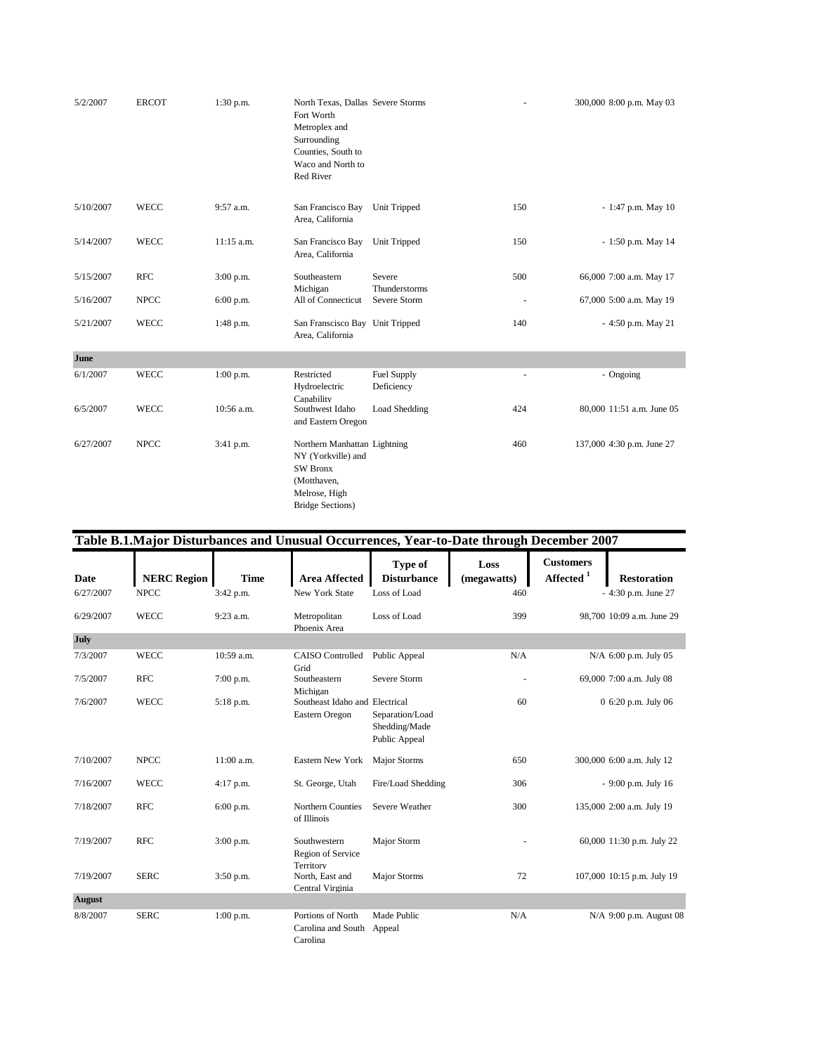| 5/2/2007  | <b>ERCOT</b> | $1:30$ p.m. | North Texas, Dallas Severe Storms<br>Fort Worth<br>Metroplex and<br>Surrounding<br>Counties, South to<br>Waco and North to<br>Red River |                               |                          | 300,000 8:00 p.m. May 03  |
|-----------|--------------|-------------|-----------------------------------------------------------------------------------------------------------------------------------------|-------------------------------|--------------------------|---------------------------|
| 5/10/2007 | <b>WECC</b>  | 9:57 a.m.   | San Francisco Bay<br>Area, California                                                                                                   | Unit Tripped                  | 150                      | $-1:47$ p.m. May 10       |
| 5/14/2007 | <b>WECC</b>  | 11:15 a.m.  | San Francisco Bay<br>Area, California                                                                                                   | Unit Tripped                  | 150                      | - 1:50 p.m. May 14        |
| 5/15/2007 | <b>RFC</b>   | $3:00$ p.m. | Southeastern                                                                                                                            | Severe                        | 500                      | 66,000 7:00 a.m. May 17   |
| 5/16/2007 | <b>NPCC</b>  | $6:00$ p.m. | Michigan<br>All of Connecticut                                                                                                          | Thunderstorms<br>Severe Storm |                          | 67,000 5:00 a.m. May 19   |
| 5/21/2007 | <b>WECC</b>  | 1:48 p.m.   | San Franscisco Bay Unit Tripped<br>Area, California                                                                                     |                               | 140                      | - 4:50 p.m. May 21        |
| June      |              |             |                                                                                                                                         |                               |                          |                           |
| 6/1/2007  | <b>WECC</b>  | $1:00$ p.m. | Restricted<br>Hydroelectric                                                                                                             | Fuel Supply<br>Deficiency     | $\overline{\phantom{a}}$ | - Ongoing                 |
| 6/5/2007  | <b>WECC</b>  | 10:56 a.m.  | Capability<br>Southwest Idaho<br>and Eastern Oregon                                                                                     | Load Shedding                 | 424                      | 80,000 11:51 a.m. June 05 |
| 6/27/2007 | <b>NPCC</b>  | 3:41 p.m.   | Northern Manhattan Lightning<br>NY (Yorkville) and<br><b>SW Bronx</b><br>(Motthaven,<br>Melrose, High<br><b>Bridge Sections)</b>        |                               | 460                      | 137,000 4:30 p.m. June 27 |

|               | Table B.1.Major Disturbances and Unusual Occurrences, Year-to-Date through December 2007 |             |                                                     |                                                   |                     |                                         |                            |  |  |
|---------------|------------------------------------------------------------------------------------------|-------------|-----------------------------------------------------|---------------------------------------------------|---------------------|-----------------------------------------|----------------------------|--|--|
| Date          | <b>NERC Region</b>                                                                       | <b>Time</b> | <b>Area Affected</b>                                | Type of<br><b>Disturbance</b>                     | Loss<br>(megawatts) | <b>Customers</b><br>Affected $^{\rm 1}$ | <b>Restoration</b>         |  |  |
| 6/27/2007     | <b>NPCC</b>                                                                              | 3:42 p.m.   | <b>New York State</b>                               | Loss of Load                                      | 460                 |                                         | - 4:30 p.m. June 27        |  |  |
| 6/29/2007     | <b>WECC</b>                                                                              | 9:23 a.m.   | Metropolitan<br>Phoenix Area                        | Loss of Load                                      | 399                 |                                         | 98,700 10:09 a.m. June 29  |  |  |
| <b>July</b>   |                                                                                          |             |                                                     |                                                   |                     |                                         |                            |  |  |
| 7/3/2007      | <b>WECC</b>                                                                              | 10:59 a.m.  | <b>CAISO</b> Controlled<br>Grid                     | Public Appeal                                     | N/A                 |                                         | N/A 6:00 p.m. July 05      |  |  |
| 7/5/2007      | <b>RFC</b>                                                                               | $7:00$ p.m. | Southeastern<br>Michigan                            | Severe Storm                                      |                     |                                         | 69,000 7:00 a.m. July 08   |  |  |
| 7/6/2007      | <b>WECC</b>                                                                              | 5:18 p.m.   | Southeast Idaho and Electrical<br>Eastern Oregon    | Separation/Load<br>Shedding/Made<br>Public Appeal | 60                  |                                         | 0 6:20 p.m. July 06        |  |  |
| 7/10/2007     | <b>NPCC</b>                                                                              | 11:00 a.m.  | Eastern New York                                    | <b>Major Storms</b>                               | 650                 |                                         | 300,000 6:00 a.m. July 12  |  |  |
| 7/16/2007     | <b>WECC</b>                                                                              | $4:17$ p.m. | St. George, Utah                                    | Fire/Load Shedding                                | 306                 |                                         | - 9:00 p.m. July 16        |  |  |
| 7/18/2007     | <b>RFC</b>                                                                               | 6:00 p.m.   | Northern Counties<br>of Illinois                    | Severe Weather                                    | 300                 |                                         | 135,000 2:00 a.m. July 19  |  |  |
| 7/19/2007     | <b>RFC</b>                                                                               | 3:00 p.m.   | Southwestern<br>Region of Service                   | Major Storm                                       |                     |                                         | 60,000 11:30 p.m. July 22  |  |  |
| 7/19/2007     | <b>SERC</b>                                                                              | 3:50 p.m.   | Territory<br>North, East and<br>Central Virginia    | Major Storms                                      | 72                  |                                         | 107,000 10:15 p.m. July 19 |  |  |
| <b>August</b> |                                                                                          |             |                                                     |                                                   |                     |                                         |                            |  |  |
| 8/8/2007      | <b>SERC</b>                                                                              | $1:00$ p.m. | Portions of North<br>Carolina and South<br>Carolina | Made Public<br>Appeal                             | N/A                 |                                         | N/A 9:00 p.m. August 08    |  |  |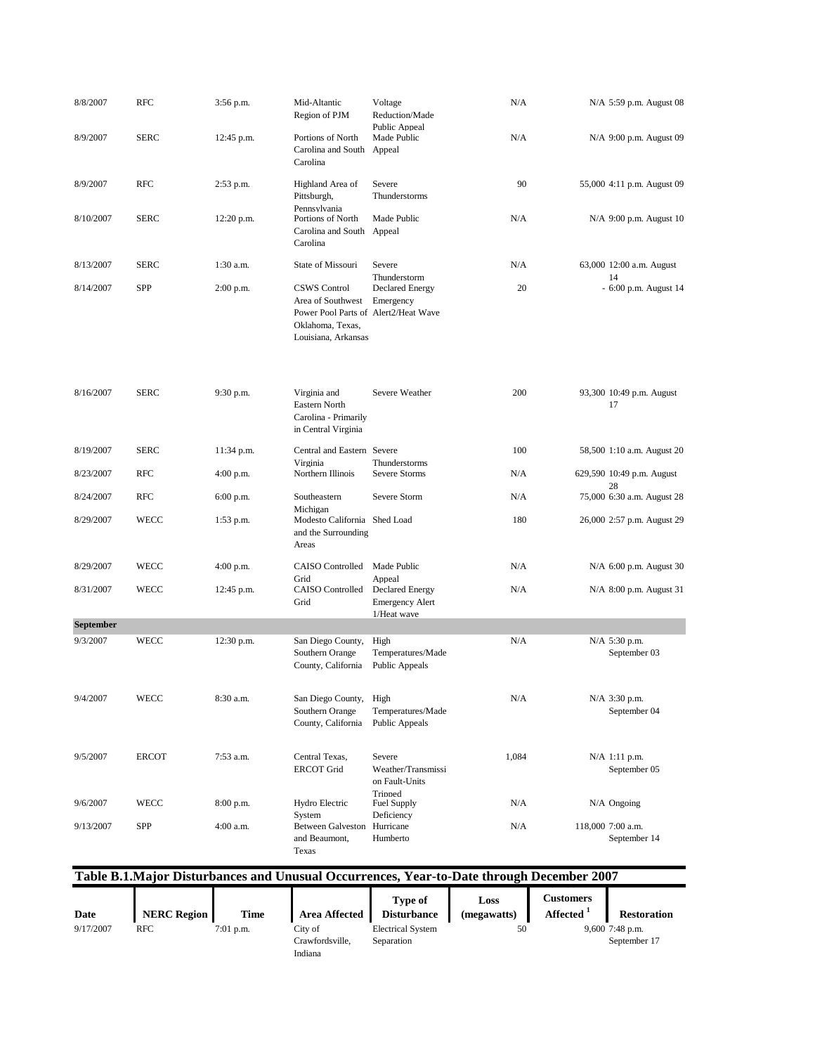| 8/8/2007         | <b>RFC</b>   | 3:56 p.m.   | Mid-Altantic<br>Region of PJM                                                                                               | Voltage<br>Reduction/Made                                                 | N/A                                                                                       | N/A 5:59 p.m. August 08           |
|------------------|--------------|-------------|-----------------------------------------------------------------------------------------------------------------------------|---------------------------------------------------------------------------|-------------------------------------------------------------------------------------------|-----------------------------------|
| 8/9/2007         | <b>SERC</b>  | 12:45 p.m.  | Portions of North<br>Carolina and South<br>Carolina                                                                         | Public Appeal<br>Made Public<br>Appeal                                    | N/A                                                                                       | N/A 9:00 p.m. August 09           |
| 8/9/2007         | <b>RFC</b>   | 2:53 p.m.   | Highland Area of<br>Pittsburgh,                                                                                             | Severe<br>Thunderstorms                                                   | 90                                                                                        | 55,000 4:11 p.m. August 09        |
| 8/10/2007        | <b>SERC</b>  | 12:20 p.m.  | Pennsylvania<br>Portions of North<br>Carolina and South<br>Carolina                                                         | Made Public<br>Appeal                                                     | N/A                                                                                       | N/A 9:00 p.m. August 10           |
| 8/13/2007        | <b>SERC</b>  | $1:30$ a.m. | State of Missouri                                                                                                           | Severe                                                                    | N/A                                                                                       | 63,000 12:00 a.m. August          |
| 8/14/2007        | <b>SPP</b>   | 2:00 p.m.   | <b>CSWS</b> Control<br>Area of Southwest<br>Power Pool Parts of Alert2/Heat Wave<br>Oklahoma, Texas,<br>Louisiana, Arkansas | Thunderstorm<br><b>Declared Energy</b><br>Emergency                       | 20                                                                                        | 14<br>- 6:00 p.m. August 14       |
| 8/16/2007        | <b>SERC</b>  | 9:30 p.m.   | Virginia and<br>Eastern North<br>Carolina - Primarily<br>in Central Virginia                                                | Severe Weather                                                            | 200                                                                                       | 93,300 10:49 p.m. August<br>17    |
| 8/19/2007        | <b>SERC</b>  | 11:34 p.m.  | Central and Eastern Severe<br>Virginia                                                                                      | Thunderstorms                                                             | 100                                                                                       | 58,500 1:10 a.m. August 20        |
| 8/23/2007        | <b>RFC</b>   | 4:00 p.m.   | Northern Illinois                                                                                                           | Severe Storms                                                             | N/A                                                                                       | 629,590 10:49 p.m. August<br>28   |
| 8/24/2007        | <b>RFC</b>   | 6:00 p.m.   | Southeastern<br>Michigan                                                                                                    | Severe Storm                                                              | N/A                                                                                       | 75,000 6:30 a.m. August 28        |
| 8/29/2007        | <b>WECC</b>  | 1:53 p.m.   | Modesto California Shed Load<br>and the Surrounding<br>Areas                                                                |                                                                           | 180                                                                                       | 26,000 2:57 p.m. August 29        |
| 8/29/2007        | WECC         | $4:00$ p.m. | CAISO Controlled                                                                                                            | Made Public                                                               | N/A                                                                                       | N/A 6:00 p.m. August 30           |
| 8/31/2007        | <b>WECC</b>  | 12:45 p.m.  | Grid<br>CAISO Controlled<br>Grid                                                                                            | Appeal<br><b>Declared Energy</b><br><b>Emergency Alert</b><br>1/Heat wave | N/A                                                                                       | N/A 8:00 p.m. August 31           |
| <b>September</b> |              |             |                                                                                                                             |                                                                           |                                                                                           |                                   |
| 9/3/2007         | <b>WECC</b>  | 12:30 p.m.  | San Diego County,<br>Southern Orange<br>County, California                                                                  | High<br>Temperatures/Made<br>Public Appeals                               | N/A                                                                                       | N/A 5:30 p.m.<br>September 03     |
| 9/4/2007         | WECC         | 8:30 a.m.   | San Diego County,<br>Southern Orange<br>County, California                                                                  | High<br>Temperatures/Made<br>Public Appeals                               | N/A                                                                                       | N/A 3:30 p.m.<br>September 04     |
| 9/5/2007         | <b>ERCOT</b> | 7:53 a.m.   | Central Texas,<br><b>ERCOT Grid</b>                                                                                         | Severe<br>Weather/Transmissi<br>on Fault-Units<br>Tripped                 | 1,084                                                                                     | $N/A$ 1:11 p.m.<br>September 05   |
| 9/6/2007         | WECC         | 8:00 p.m.   | Hydro Electric<br>System                                                                                                    | <b>Fuel Supply</b><br>Deficiency                                          | N/A                                                                                       | $N/A$ Ongoing                     |
| 9/13/2007        | SPP          | 4:00 a.m.   | Between Galveston Hurricane<br>and Beaumont,<br>Texas                                                                       | Humberto                                                                  | N/A                                                                                       | 118,000 7:00 a.m.<br>September 14 |
|                  |              |             |                                                                                                                             |                                                                           | Table B.1. Major Disturbances and Unusual Occurrences. Year-to-Date through December 2007 |                                   |

| Table D.T.Major Distui bances and Unusual Occurrences, Tear-to-Date through December 2007 |                    |             |                            |                                      |                     |                                    |                    |  |  |
|-------------------------------------------------------------------------------------------|--------------------|-------------|----------------------------|--------------------------------------|---------------------|------------------------------------|--------------------|--|--|
| Date                                                                                      | <b>NERC Region</b> | <b>Time</b> | <b>Area Affected</b>       | <b>Type of</b><br><b>Disturbance</b> | Loss<br>(megawatts) | Customers<br>Affected <sup>1</sup> | <b>Restoration</b> |  |  |
| 9/17/2007                                                                                 | RFC                | $7:01$ p.m. | City of                    | <b>Electrical System</b>             | 50                  |                                    | $9,600$ 7:48 p.m.  |  |  |
|                                                                                           |                    |             | Crawfordsville.<br>Indiana | Separation                           |                     |                                    | September 17       |  |  |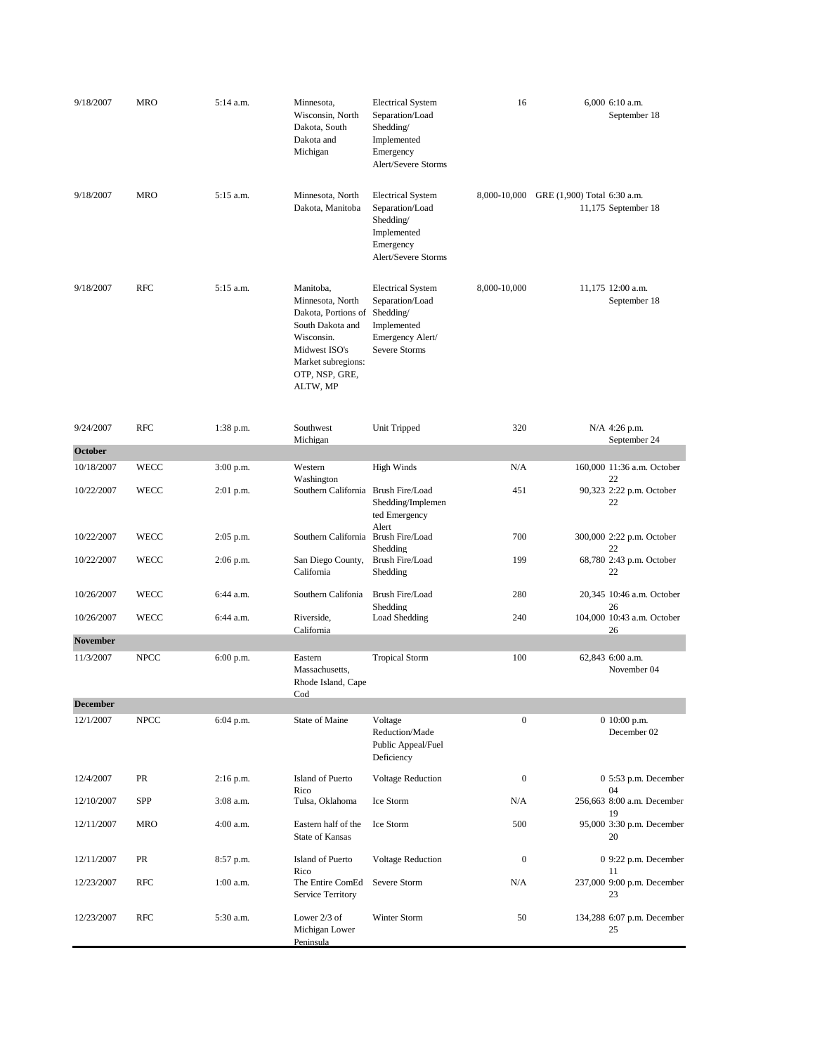| 9/18/2007       | <b>MRO</b>  | 5:14 a.m. | Minnesota,<br>Wisconsin, North<br>Dakota, South<br>Dakota and<br>Michigan                                                                                   | <b>Electrical System</b><br>Separation/Load<br>Shedding/<br>Implemented<br>Emergency<br>Alert/Severe Storms  | 16               | 6,000 6:10 a.m.<br>September 18                    |
|-----------------|-------------|-----------|-------------------------------------------------------------------------------------------------------------------------------------------------------------|--------------------------------------------------------------------------------------------------------------|------------------|----------------------------------------------------|
| 9/18/2007       | <b>MRO</b>  | 5:15 a.m. | Minnesota, North<br>Dakota, Manitoba                                                                                                                        | <b>Electrical System</b><br>Separation/Load<br>Shedding/<br>Implemented<br>Emergency<br>Alert/Severe Storms  | 8,000-10,000     | GRE (1,900) Total 6:30 a.m.<br>11,175 September 18 |
| 9/18/2007       | <b>RFC</b>  | 5:15 a.m. | Manitoba,<br>Minnesota, North<br>Dakota, Portions of<br>South Dakota and<br>Wisconsin.<br>Midwest ISO's<br>Market subregions:<br>OTP, NSP, GRE,<br>ALTW, MP | <b>Electrical System</b><br>Separation/Load<br>Shedding/<br>Implemented<br>Emergency Alert/<br>Severe Storms | 8,000-10,000     | 11,175 12:00 a.m.<br>September 18                  |
| 9/24/2007       | <b>RFC</b>  | 1:38 p.m. | Southwest<br>Michigan                                                                                                                                       | Unit Tripped                                                                                                 | 320              | N/A 4:26 p.m.<br>September 24                      |
| October         |             |           |                                                                                                                                                             |                                                                                                              |                  |                                                    |
| 10/18/2007      | WECC        | 3:00 p.m. | Western<br>Washington                                                                                                                                       | <b>High Winds</b>                                                                                            | N/A              | 160,000 11:36 a.m. October<br>22                   |
| 10/22/2007      | <b>WECC</b> | 2:01 p.m. | Southern California                                                                                                                                         | Brush Fire/Load<br>Shedding/Implemen<br>ted Emergency                                                        | 451              | 90,323 2:22 p.m. October<br>22                     |
| 10/22/2007      | WECC        | 2:05 p.m. | Southern California                                                                                                                                         | Alert<br>Brush Fire/Load<br>Shedding                                                                         | 700              | 300,000 2:22 p.m. October<br>22                    |
| 10/22/2007      | WECC        | 2:06 p.m. | San Diego County,<br>California                                                                                                                             | Brush Fire/Load<br>Shedding                                                                                  | 199              | 68,780 2:43 p.m. October<br>22                     |
| 10/26/2007      | <b>WECC</b> | 6:44 a.m. | Southern Califonia                                                                                                                                          | Brush Fire/Load<br>Shedding                                                                                  | 280              | 20,345 10:46 a.m. October<br>26                    |
| 10/26/2007      | <b>WECC</b> | 6:44 a.m. | Riverside,<br>California                                                                                                                                    | Load Shedding                                                                                                | 240              | 104,000 10:43 a.m. October<br>26                   |
| <b>November</b> |             |           |                                                                                                                                                             |                                                                                                              |                  |                                                    |
| 11/3/2007       | <b>NPCC</b> | 6:00 p.m. | Eastern<br>Massachusetts,<br>Rhode Island, Cape<br>Cod                                                                                                      | <b>Tropical Storm</b>                                                                                        | 100              | 62,843 6:00 a.m.<br>November 04                    |
| <b>December</b> |             |           |                                                                                                                                                             |                                                                                                              |                  |                                                    |
| 12/1/2007       | <b>NPCC</b> | 6:04 p.m. | State of Maine                                                                                                                                              | Voltage<br>Reduction/Made<br>Public Appeal/Fuel<br>Deficiency                                                | $\boldsymbol{0}$ | 0 10:00 p.m.<br>December 02                        |
| 12/4/2007       | PR          | 2:16 p.m. | Island of Puerto<br>Rico                                                                                                                                    | Voltage Reduction                                                                                            | $\boldsymbol{0}$ | 0 5:53 p.m. December<br>04                         |
| 12/10/2007      | SPP         | 3:08 a.m. | Tulsa, Oklahoma                                                                                                                                             | Ice Storm                                                                                                    | N/A              | 256,663 8:00 a.m. December<br>19                   |
| 12/11/2007      | MRO         | 4:00 a.m. | Eastern half of the<br>State of Kansas                                                                                                                      | Ice Storm                                                                                                    | 500              | 95,000 3:30 p.m. December<br>20                    |
| 12/11/2007      | PR          | 8:57 p.m. | Island of Puerto<br>Rico                                                                                                                                    | <b>Voltage Reduction</b>                                                                                     | $\boldsymbol{0}$ | 0 9:22 p.m. December<br>11                         |
| 12/23/2007      | RFC         | 1:00 a.m. | The Entire ComEd<br>Service Territory                                                                                                                       | Severe Storm                                                                                                 | N/A              | 237,000 9:00 p.m. December<br>23                   |
| 12/23/2007      | <b>RFC</b>  | 5:30 a.m. | Lower 2/3 of<br>Michigan Lower<br>Peninsula                                                                                                                 | Winter Storm                                                                                                 | 50               | 134,288 6:07 p.m. December<br>25                   |